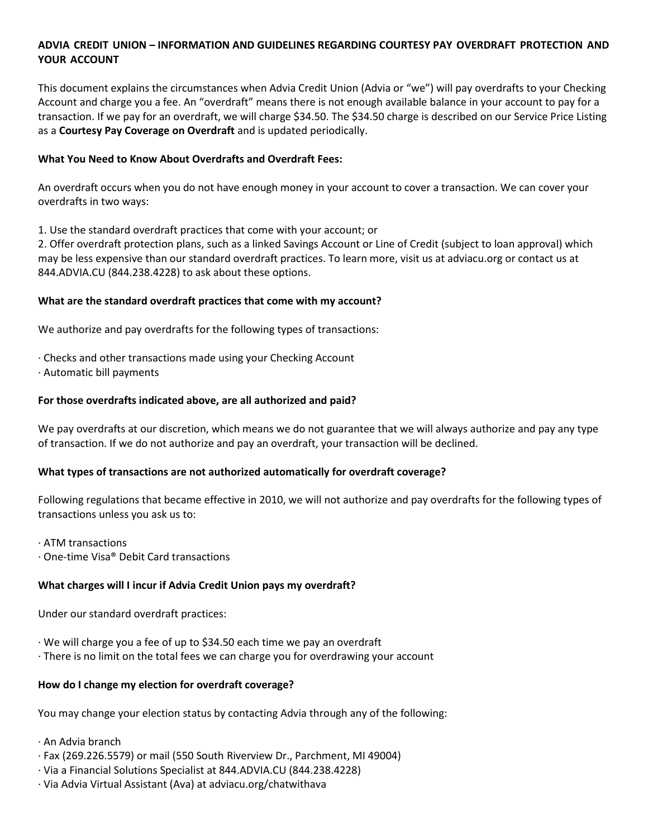# **ADVIA CREDIT UNION – INFORMATION AND GUIDELINES REGARDING COURTESY PAY OVERDRAFT PROTECTION AND YOUR ACCOUNT**

This document explains the circumstances when Advia Credit Union (Advia or "we") will pay overdrafts to your Checking Account and charge you a fee. An "overdraft" means there is not enough available balance in your account to pay for a transaction. If we pay for an overdraft, we will charge \$34.50. The \$34.50 charge is described on our Service Price Listing as a **Courtesy Pay Coverage on Overdraft** and is updated periodically.

#### **What You Need to Know About Overdrafts and Overdraft Fees:**

An overdraft occurs when you do not have enough money in your account to cover a transaction. We can cover your overdrafts in two ways:

1. Use the standard overdraft practices that come with your account; or

2. Offer overdraft protection plans, such as a linked Savings Account or Line of Credit (subject to loan approval) which may be less expensive than our standard overdraft practices. To learn more, visit us at adviacu.org or contact us at 844.ADVIA.CU (844.238.4228) to ask about these options.

#### **What are the standard overdraft practices that come with my account?**

We authorize and pay overdrafts for the following types of transactions:

- · Checks and other transactions made using your Checking Account
- · Automatic bill payments

#### **For those overdrafts indicated above, are all authorized and paid?**

We pay overdrafts at our discretion, which means we do not guarantee that we will always authorize and pay any type of transaction. If we do not authorize and pay an overdraft, your transaction will be declined.

## **What types of transactions are not authorized automatically for overdraft coverage?**

Following regulations that became effective in 2010, we will not authorize and pay overdrafts for the following types of transactions unless you ask us to:

· ATM transactions

· One-time Visa® Debit Card transactions

#### **What charges will I incur if Advia Credit Union pays my overdraft?**

Under our standard overdraft practices:

- · We will charge you a fee of up to \$34.50 each time we pay an overdraft
- · There is no limit on the total fees we can charge you for overdrawing your account

#### **How do I change my election for overdraft coverage?**

You may change your election status by contacting Advia through any of the following:

- · An Advia branch
- · Fax (269.226.5579) or mail (550 South Riverview Dr., Parchment, MI 49004)
- · Via a Financial Solutions Specialist at 844.ADVIA.CU (844.238.4228)
- · Via Advia Virtual Assistant (Ava) at adviacu.org/chatwithava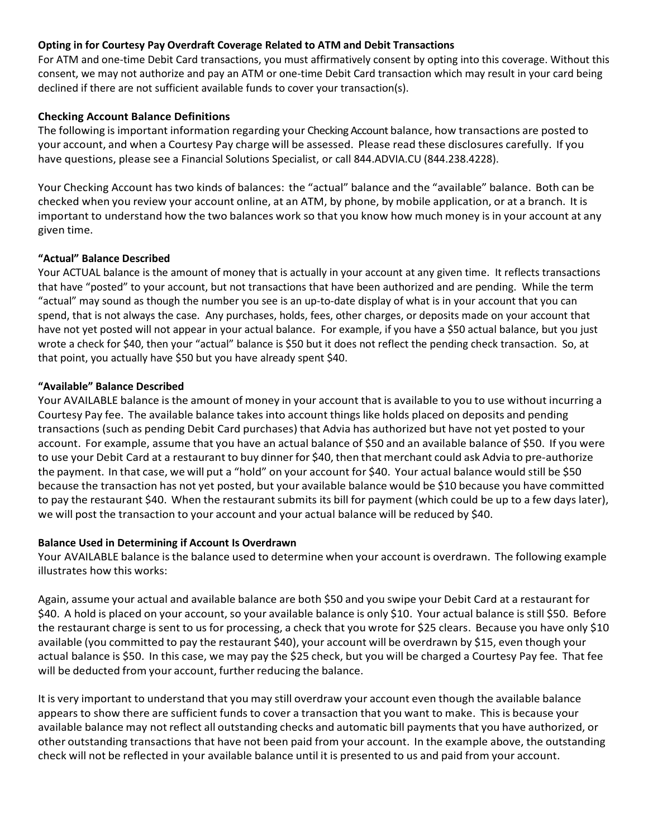## **Opting in for Courtesy Pay Overdraft Coverage Related to ATM and Debit Transactions**

For ATM and one-time Debit Card transactions, you must affirmatively consent by opting into this coverage. Without this consent, we may not authorize and pay an ATM or one-time Debit Card transaction which may result in your card being declined if there are not sufficient available funds to cover your transaction(s).

# **Checking Account Balance Definitions**

The following is important information regarding your Checking Account balance, how transactions are posted to your account, and when a Courtesy Pay charge will be assessed. Please read these disclosures carefully. If you have questions, please see a Financial Solutions Specialist, or call 844.ADVIA.CU (844.238.4228).

Your Checking Account has two kinds of balances: the "actual" balance and the "available" balance. Both can be checked when you review your account online, at an ATM, by phone, by mobile application, or at a branch. It is important to understand how the two balances work so that you know how much money is in your account at any given time.

# **"Actual" Balance Described**

Your ACTUAL balance is the amount of money that is actually in your account at any given time. It reflects transactions that have "posted" to your account, but not transactions that have been authorized and are pending. While the term "actual" may sound as though the number you see is an up-to-date display of what is in your account that you can spend, that is not always the case. Any purchases, holds, fees, other charges, or deposits made on your account that have not yet posted will not appear in your actual balance. For example, if you have a \$50 actual balance, but you just wrote a check for \$40, then your "actual" balance is \$50 but it does not reflect the pending check transaction. So, at that point, you actually have \$50 but you have already spent \$40.

# **"Available" Balance Described**

Your AVAILABLE balance is the amount of money in your account that is available to you to use without incurring a Courtesy Pay fee. The available balance takes into account things like holds placed on deposits and pending transactions (such as pending Debit Card purchases) that Advia has authorized but have not yet posted to your account. For example, assume that you have an actual balance of \$50 and an available balance of \$50. If you were to use your Debit Card at a restaurant to buy dinner for \$40, then that merchant could ask Advia to pre‐authorize the payment. In that case, we will put a "hold" on your account for \$40. Your actual balance would still be \$50 because the transaction has not yet posted, but your available balance would be \$10 because you have committed to pay the restaurant \$40. When the restaurant submits its bill for payment (which could be up to a few days later), we will post the transaction to your account and your actual balance will be reduced by \$40.

## **Balance Used in Determining if Account Is Overdrawn**

Your AVAILABLE balance isthe balance used to determine when your account is overdrawn. The following example illustrates how this works:

Again, assume your actual and available balance are both \$50 and you swipe your Debit Card at a restaurant for \$40. A hold is placed on your account, so your available balance is only \$10. Your actual balance is still \$50. Before the restaurant charge is sent to us for processing, a check that you wrote for \$25 clears. Because you have only \$10 available (you committed to pay the restaurant \$40), your account will be overdrawn by \$15, even though your actual balance is \$50. In this case, we may pay the \$25 check, but you will be charged a Courtesy Pay fee. That fee will be deducted from your account, further reducing the balance.

It is very important to understand that you may still overdraw your account even though the available balance appears to show there are sufficient funds to cover a transaction that you want to make. This is because your available balance may not reflect all outstanding checks and automatic bill payments that you have authorized, or other outstanding transactions that have not been paid from your account. In the example above, the outstanding check will not be reflected in your available balance until it is presented to us and paid from your account.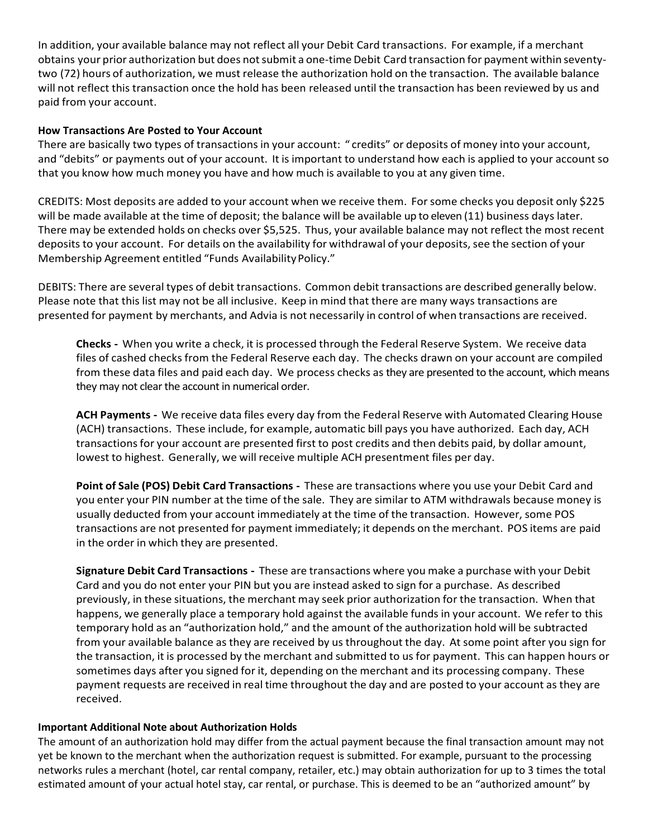In addition, your available balance may not reflect all your Debit Card transactions. For example, if a merchant obtains your prior authorization but does notsubmit a one-time Debit Card transaction for payment within seventytwo (72) hours of authorization, we must release the authorization hold on the transaction. The available balance will not reflect this transaction once the hold has been released until the transaction has been reviewed by us and paid from your account.

## **How Transactions Are Posted to Your Account**

There are basically two types of transactions in your account: " credits" or deposits of money into your account, and "debits" or payments out of your account. It is important to understand how each is applied to your account so that you know how much money you have and how much is available to you at any given time.

CREDITS: Most deposits are added to your account when we receive them. Forsome checks you deposit only \$225 will be made available at the time of deposit; the balance will be available up to eleven (11) business days later. There may be extended holds on checks over \$5,525. Thus, your available balance may not reflect the most recent deposits to your account. For details on the availability for withdrawal of your deposits, see the section of your Membership Agreement entitled "Funds Availability Policy."

DEBITS: There are several types of debit transactions. Common debit transactions are described generally below. Please note that this list may not be all inclusive. Keep in mind that there are many ways transactions are presented for payment by merchants, and Advia is not necessarily in control of when transactions are received.

**Checks -** When you write a check, it is processed through the Federal Reserve System. We receive data files of cashed checks from the Federal Reserve each day. The checks drawn on your account are compiled from these data files and paid each day. We process checks as they are presented to the account, which means they may not clear the account in numerical order.

**ACH Payments -** We receive data files every day from the Federal Reserve with Automated Clearing House (ACH) transactions. These include, for example, automatic bill pays you have authorized. Each day, ACH transactions for your account are presented first to post credits and then debits paid, by dollar amount, lowest to highest. Generally, we will receive multiple ACH presentment files per day.

**Point of Sale (POS) Debit Card Transactions -** These are transactions where you use your Debit Card and you enter your PIN number at the time of the sale. They are similar to ATM withdrawals because money is usually deducted from your account immediately at the time of the transaction. However, some POS transactions are not presented for payment immediately; it depends on the merchant. POS items are paid in the order in which they are presented.

**Signature Debit Card Transactions -** These are transactions where you make a purchase with your Debit Card and you do not enter your PIN but you are instead asked to sign for a purchase. As described previously, in these situations, the merchant may seek prior authorization for the transaction. When that happens, we generally place a temporary hold against the available funds in your account. We refer to this temporary hold as an "authorization hold," and the amount of the authorization hold will be subtracted from your available balance as they are received by us throughout the day. At some point after you sign for the transaction, it is processed by the merchant and submitted to us for payment. This can happen hours or sometimes days after you signed for it, depending on the merchant and its processing company. These payment requests are received in real time throughout the day and are posted to your account as they are received.

## **Important Additional Note about Authorization Holds**

The amount of an authorization hold may differ from the actual payment because the final transaction amount may not yet be known to the merchant when the authorization request is submitted. For example, pursuant to the processing networks rules a merchant (hotel, car rental company, retailer, etc.) may obtain authorization for up to 3 times the total estimated amount of your actual hotel stay, car rental, or purchase. This is deemed to be an "authorized amount" by